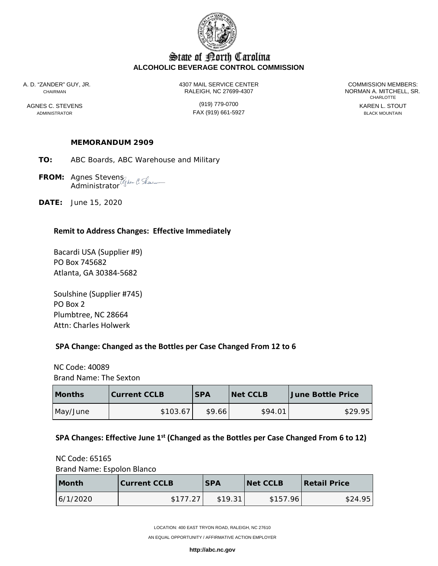

# State of Borth Carolina **ALCOHOLIC BEVERAGE CONTROL COMMISSION**

A. D. "ZANDER" GUY, JR. 4307 MAIL SERVICE CENTER COMMISSION MEMBERS: CHAIRMAN RALEIGH, NC 27699-4307 NORMAN A. MITCHELL, SR.

AGNES C. STEVENS (919) 779-0700<br>ADMINISTRATOR BLACK MOUNTAIN FAX (919) 661-5927 FAX (919) 661-5927

CHARLOTTE

### **MEMORANDUM 2909**

- **TO:** ABC Boards, ABC Warehouse and Military
- **FROM:** Agnes Stevens Administrator
- **DATE:** June 15, 2020

#### **Remit to Address Changes: Effective Immediately**

Bacardi USA (Supplier #9) PO Box 745682 Atlanta, GA 30384-5682

Soulshine (Supplier #745) PO Box 2 Plumbtree, NC 28664 Attn: Charles Holwerk

#### **SPA Change: Changed as the Bottles per Case Changed From 12 to 6**

 NC Code: 40089 Brand Name: The Sexton

| <b>Months</b> | <b>Current CCLB</b> | <b>SPA</b> | <b>Net CCLB</b> | <b>June Bottle Price</b> |  |
|---------------|---------------------|------------|-----------------|--------------------------|--|
| May/June      | \$103.67            | \$9.66     | \$94.01         | \$29.95                  |  |

### **SPA Changes: Effective June 1st (Changed as the Bottles per Case Changed From 6 to 12)**

 NC Code: 65165 Brand Name: Espolon Blanco

| <b>Month</b> | <b>Current CCLB</b> | <b>SPA</b> | <b>Net CCLB</b> | <b>Retail Price</b> |  |
|--------------|---------------------|------------|-----------------|---------------------|--|
| 6/1/2020     | \$177.27            | \$19.31    | \$157.96        | \$24.95             |  |

LOCATION: 400 EAST TRYON ROAD, RALEIGH, NC 27610

AN EQUAL OPPORTUNITY / AFFIRMATIVE ACTION EMPLOYER

**http://abc.nc.gov**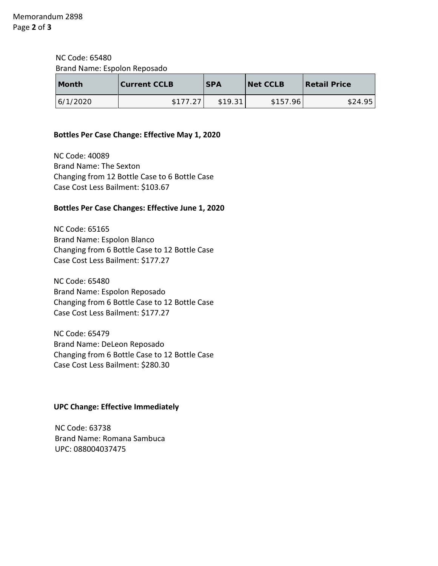NC Code: 65480 Brand Name: Espolon Reposado

| <b>Month</b> | <b>Current CCLB</b> | <b>SPA</b> | <b>Net CCLB</b> | <b>Retail Price</b> |  |
|--------------|---------------------|------------|-----------------|---------------------|--|
| 6/1/2020     | \$177.27            | \$19.31    | \$157.96        | \$24.95             |  |

### **Bottles Per Case Change: Effective May 1, 2020**

 NC Code: 40089 Brand Name: The Sexton Changing from 12 Bottle Case to 6 Bottle Case Case Cost Less Bailment: \$103.67

## **Bottles Per Case Changes: Effective June 1, 2020**

 NC Code: 65165 Brand Name: Espolon Blanco Changing from 6 Bottle Case to 12 Bottle Case Case Cost Less Bailment: \$177.27

 NC Code: 65480 Brand Name: Espolon Reposado Changing from 6 Bottle Case to 12 Bottle Case Case Cost Less Bailment: \$177.27

 NC Code: 65479 Brand Name: DeLeon Reposado Changing from 6 Bottle Case to 12 Bottle Case Case Cost Less Bailment: \$280.30

# **UPC Change: Effective Immediately**

NC Code: 63738 Brand Name: Romana Sambuca UPC: 088004037475